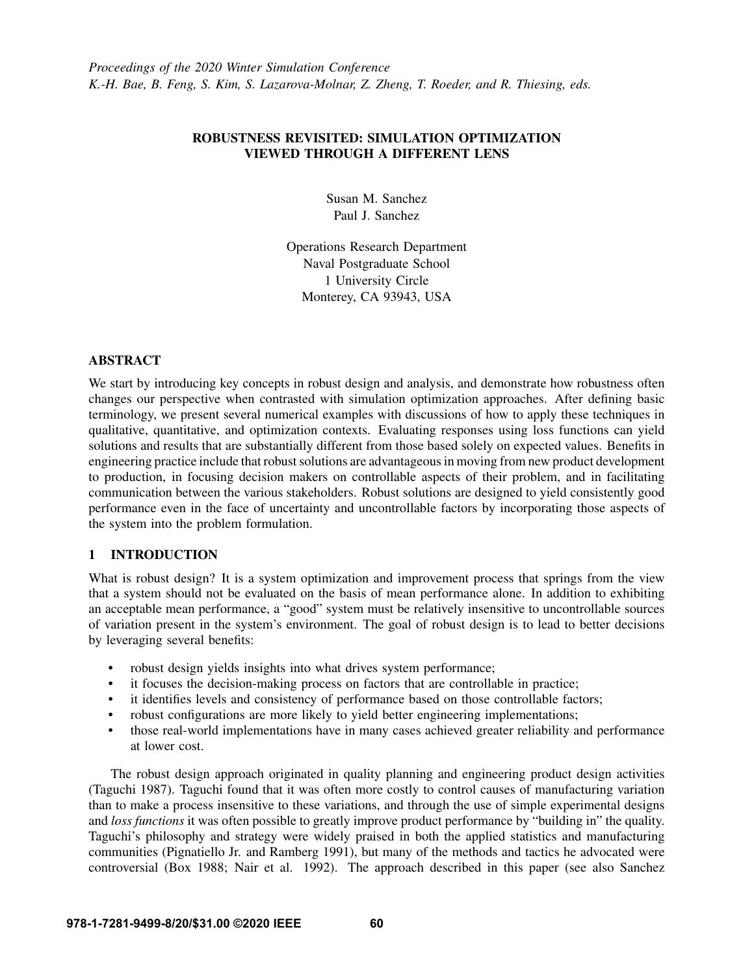# ROBUSTNESS REVISITED: SIMULATION OPTIMIZATION VIEWED THROUGH A DIFFERENT LENS

Susan M. Sanchez Paul J. Sanchez

Operations Research Department Naval Postgraduate School 1 University Circle Monterey, CA 93943, USA

# ABSTRACT

We start by introducing key concepts in robust design and analysis, and demonstrate how robustness often changes our perspective when contrasted with simulation optimization approaches. After defining basic terminology, we present several numerical examples with discussions of how to apply these techniques in qualitative, quantitative, and optimization contexts. Evaluating responses using loss functions can yield solutions and results that are substantially different from those based solely on expected values. Benefits in engineering practice include that robust solutions are advantageous in moving from new product development to production, in focusing decision makers on controllable aspects of their problem, and in facilitating communication between the various stakeholders. Robust solutions are designed to yield consistently good performance even in the face of uncertainty and uncontrollable factors by incorporating those aspects of the system into the problem formulation.

# 1 INTRODUCTION

What is robust design? It is a system optimization and improvement process that springs from the view that a system should not be evaluated on the basis of mean performance alone. In addition to exhibiting an acceptable mean performance, a "good" system must be relatively insensitive to uncontrollable sources of variation present in the system's environment. The goal of robust design is to lead to better decisions by leveraging several benefits:

- robust design yields insights into what drives system performance;
- it focuses the decision-making process on factors that are controllable in practice;
- it identifies levels and consistency of performance based on those controllable factors;
- robust configurations are more likely to yield better engineering implementations;
- those real-world implementations have in many cases achieved greater reliability and performance at lower cost.

The robust design approach originated in quality planning and engineering product design activities [\(Taguchi 1987\)](#page-14-0). Taguchi found that it was often more costly to control causes of manufacturing variation than to make a process insensitive to these variations, and through the use of simple experimental designs and *loss functions* it was often possible to greatly improve product performance by "building in" the quality. Taguchi's philosophy and strategy were widely praised in both the applied statistics and manufacturing communities [\(Pignatiello Jr. and Ramberg 1991\)](#page-14-1), but many of the methods and tactics he advocated were controversial [\(Box 1988;](#page-13-0) [Nair et al. 1992\)](#page-14-2). The approach described in this paper (see also [Sanchez](#page-14-3)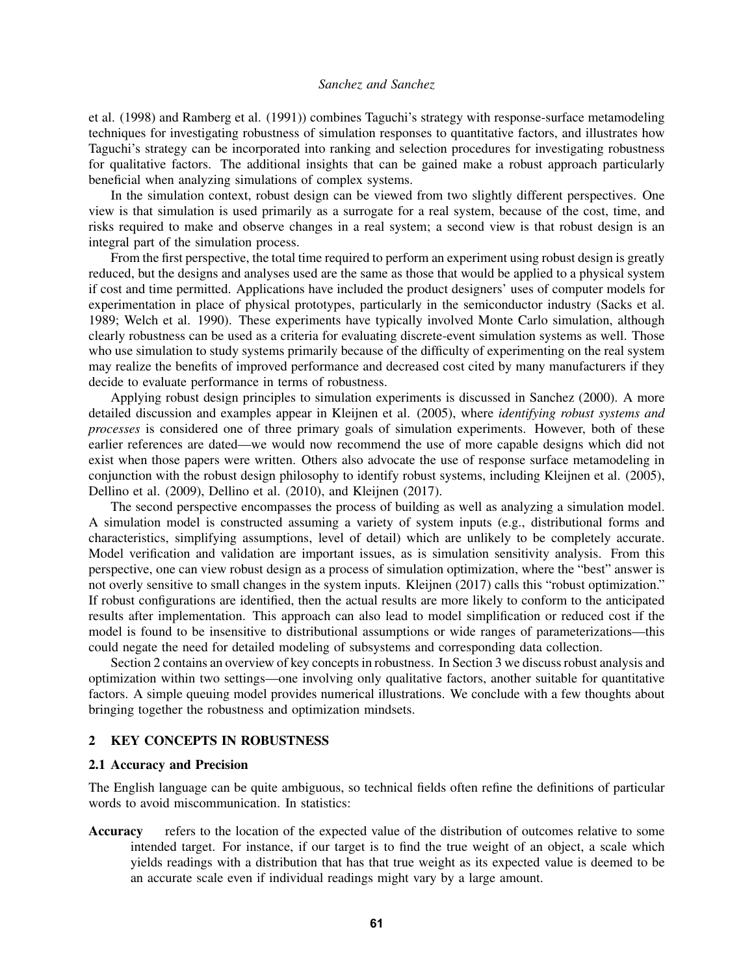[et al. \(1998\)](#page-14-3) and [Ramberg et al. \(1991\)\)](#page-14-4) combines Taguchi's strategy with response-surface metamodeling techniques for investigating robustness of simulation responses to quantitative factors, and illustrates how Taguchi's strategy can be incorporated into ranking and selection procedures for investigating robustness for qualitative factors. The additional insights that can be gained make a robust approach particularly beneficial when analyzing simulations of complex systems.

In the simulation context, robust design can be viewed from two slightly different perspectives. One view is that simulation is used primarily as a surrogate for a real system, because of the cost, time, and risks required to make and observe changes in a real system; a second view is that robust design is an integral part of the simulation process.

From the first perspective, the total time required to perform an experiment using robust design is greatly reduced, but the designs and analyses used are the same as those that would be applied to a physical system if cost and time permitted. Applications have included the product designers' uses of computer models for experimentation in place of physical prototypes, particularly in the semiconductor industry [\(Sacks et al.](#page-14-5) [1989;](#page-14-5) [Welch et al. 1990\)](#page-14-6). These experiments have typically involved Monte Carlo simulation, although clearly robustness can be used as a criteria for evaluating discrete-event simulation systems as well. Those who use simulation to study systems primarily because of the difficulty of experimenting on the real system may realize the benefits of improved performance and decreased cost cited by many manufacturers if they decide to evaluate performance in terms of robustness.

Applying robust design principles to simulation experiments is discussed in [Sanchez \(2000\).](#page-14-7) A more detailed discussion and examples appear in [Kleijnen et al. \(2005\),](#page-14-8) where *identifying robust systems and processes* is considered one of three primary goals of simulation experiments. However, both of these earlier references are dated—we would now recommend the use of more capable designs which did not exist when those papers were written. Others also advocate the use of response surface metamodeling in conjunction with the robust design philosophy to identify robust systems, including [Kleijnen et al. \(2005\),](#page-14-8) [Dellino et al. \(2009\),](#page-13-1) [Dellino et al. \(2010\),](#page-13-2) and [Kleijnen \(2017\).](#page-14-9)

The second perspective encompasses the process of building as well as analyzing a simulation model. A simulation model is constructed assuming a variety of system inputs (e.g., distributional forms and characteristics, simplifying assumptions, level of detail) which are unlikely to be completely accurate. Model verification and validation are important issues, as is simulation sensitivity analysis. From this perspective, one can view robust design as a process of simulation optimization, where the "best" answer is not overly sensitive to small changes in the system inputs. [Kleijnen \(2017\)](#page-14-9) calls this "robust optimization." If robust configurations are identified, then the actual results are more likely to conform to the anticipated results after implementation. This approach can also lead to model simplification or reduced cost if the model is found to be insensitive to distributional assumptions or wide ranges of parameterizations—this could negate the need for detailed modeling of subsystems and corresponding data collection.

Section 2 contains an overview of key concepts in robustness. In Section 3 we discuss robust analysis and optimization within two settings—one involving only qualitative factors, another suitable for quantitative factors. A simple queuing model provides numerical illustrations. We conclude with a few thoughts about bringing together the robustness and optimization mindsets.

## 2 KEY CONCEPTS IN ROBUSTNESS

## 2.1 Accuracy and Precision

The English language can be quite ambiguous, so technical fields often refine the definitions of particular words to avoid miscommunication. In statistics:

Accuracy refers to the location of the expected value of the distribution of outcomes relative to some intended target. For instance, if our target is to find the true weight of an object, a scale which yields readings with a distribution that has that true weight as its expected value is deemed to be an accurate scale even if individual readings might vary by a large amount.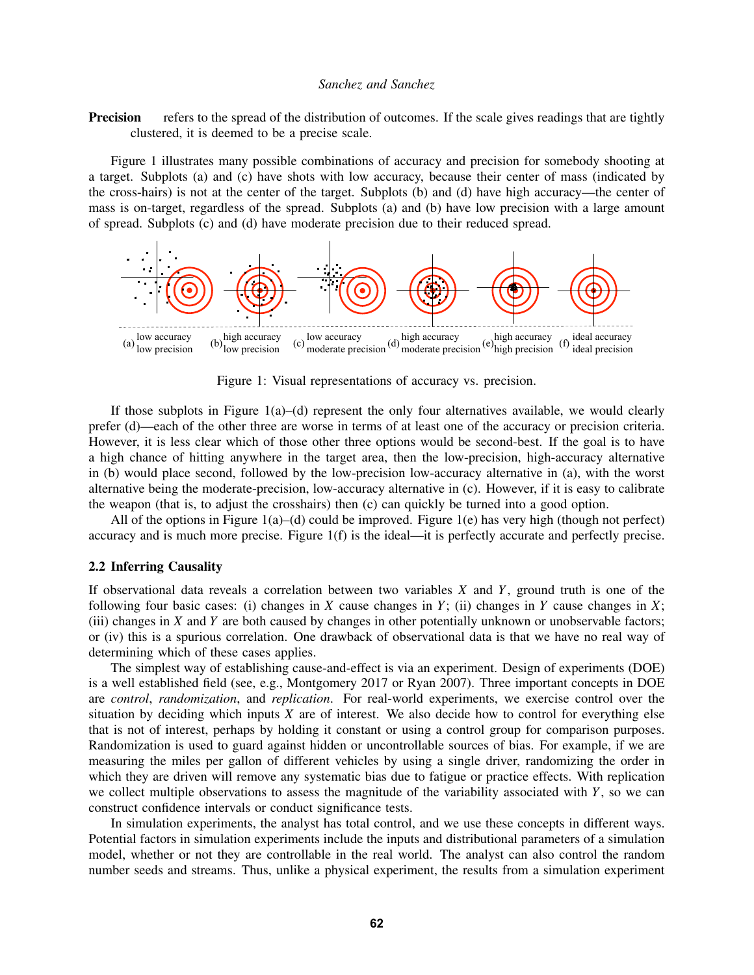**Precision** refers to the spread of the distribution of outcomes. If the scale gives readings that are tightly clustered, it is deemed to be a precise scale.

Figure [1](#page-2-0) illustrates many possible combinations of accuracy and precision for somebody shooting at a target. Subplots (a) and (c) have shots with low accuracy, because their center of mass (indicated by the cross-hairs) is not at the center of the target. Subplots (b) and (d) have high accuracy—the center of mass is on-target, regardless of the spread. Subplots (a) and (b) have low precision with a large amount of spread. Subplots (c) and (d) have moderate precision due to their reduced spread.



<span id="page-2-0"></span>Figure 1: Visual representations of accuracy vs. precision.

If those subplots in Figure  $1(a)$  $1(a)$ –(d) represent the only four alternatives available, we would clearly prefer (d)—each of the other three are worse in terms of at least one of the accuracy or precision criteria. However, it is less clear which of those other three options would be second-best. If the goal is to have a high chance of hitting anywhere in the target area, then the low-precision, high-accuracy alternative in (b) would place second, followed by the low-precision low-accuracy alternative in (a), with the worst alternative being the moderate-precision, low-accuracy alternative in (c). However, if it is easy to calibrate the weapon (that is, to adjust the crosshairs) then (c) can quickly be turned into a good option.

All of the options in Figure [1\(](#page-2-0)a)–(d) could be improved. Figure [1\(](#page-2-0)e) has very high (though not perfect) accuracy and is much more precise. Figure [1\(](#page-2-0)f) is the ideal—it is perfectly accurate and perfectly precise.

#### 2.2 Inferring Causality

If observational data reveals a correlation between two variables *X* and *Y*, ground truth is one of the following four basic cases: (i) changes in *X* cause changes in *Y*; (ii) changes in *Y* cause changes in *X*; (iii) changes in *X* and *Y* are both caused by changes in other potentially unknown or unobservable factors; or (iv) this is a spurious correlation. One drawback of observational data is that we have no real way of determining which of these cases applies.

The simplest way of establishing cause-and-effect is via an experiment. Design of experiments (DOE) is a well established field (see, e.g., [Montgomery 2017](#page-14-10) or [Ryan 2007\)](#page-14-11). Three important concepts in DOE are *control*, *randomization*, and *replication*. For real-world experiments, we exercise control over the situation by deciding which inputs *X* are of interest. We also decide how to control for everything else that is not of interest, perhaps by holding it constant or using a control group for comparison purposes. Randomization is used to guard against hidden or uncontrollable sources of bias. For example, if we are measuring the miles per gallon of different vehicles by using a single driver, randomizing the order in which they are driven will remove any systematic bias due to fatigue or practice effects. With replication we collect multiple observations to assess the magnitude of the variability associated with *Y*, so we can construct confidence intervals or conduct significance tests.

In simulation experiments, the analyst has total control, and we use these concepts in different ways. Potential factors in simulation experiments include the inputs and distributional parameters of a simulation model, whether or not they are controllable in the real world. The analyst can also control the random number seeds and streams. Thus, unlike a physical experiment, the results from a simulation experiment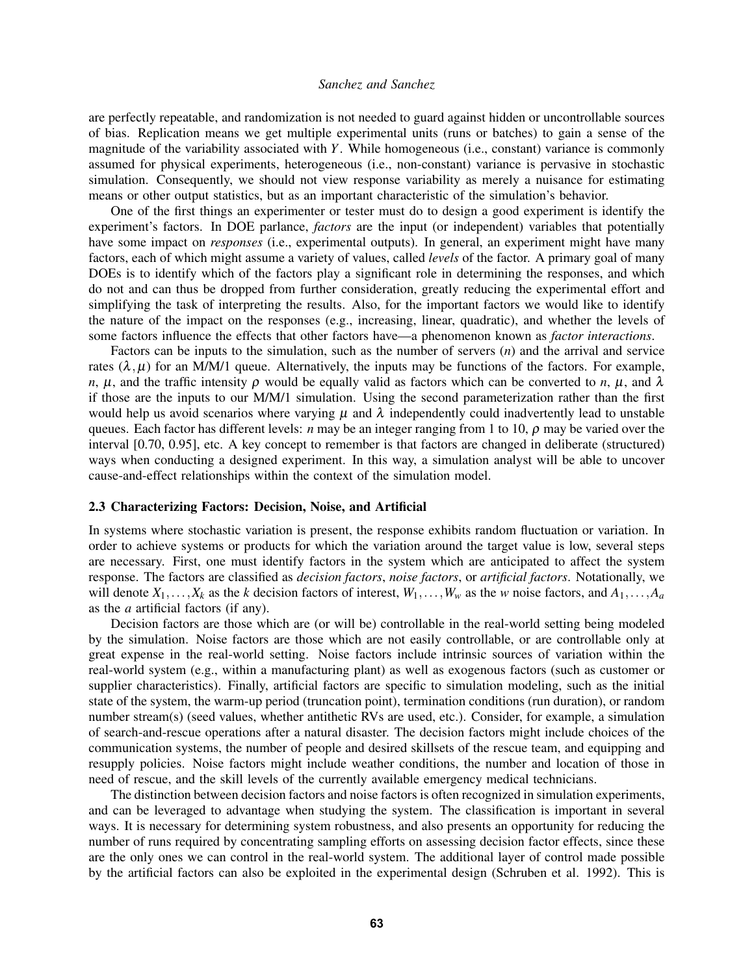are perfectly repeatable, and randomization is not needed to guard against hidden or uncontrollable sources of bias. Replication means we get multiple experimental units (runs or batches) to gain a sense of the magnitude of the variability associated with *Y*. While homogeneous (i.e., constant) variance is commonly assumed for physical experiments, heterogeneous (i.e., non-constant) variance is pervasive in stochastic simulation. Consequently, we should not view response variability as merely a nuisance for estimating means or other output statistics, but as an important characteristic of the simulation's behavior.

One of the first things an experimenter or tester must do to design a good experiment is identify the experiment's factors. In DOE parlance, *factors* are the input (or independent) variables that potentially have some impact on *responses* (i.e., experimental outputs). In general, an experiment might have many factors, each of which might assume a variety of values, called *levels* of the factor. A primary goal of many DOEs is to identify which of the factors play a significant role in determining the responses, and which do not and can thus be dropped from further consideration, greatly reducing the experimental effort and simplifying the task of interpreting the results. Also, for the important factors we would like to identify the nature of the impact on the responses (e.g., increasing, linear, quadratic), and whether the levels of some factors influence the effects that other factors have—a phenomenon known as *factor interactions*.

Factors can be inputs to the simulation, such as the number of servers (*n*) and the arrival and service rates  $(\lambda, \mu)$  for an M/M/1 queue. Alternatively, the inputs may be functions of the factors. For example, *n*,  $\mu$ , and the traffic intensity  $\rho$  would be equally valid as factors which can be converted to *n*,  $\mu$ , and  $\lambda$ if those are the inputs to our M/M/1 simulation. Using the second parameterization rather than the first would help us avoid scenarios where varying  $\mu$  and  $\lambda$  independently could inadvertently lead to unstable queues. Each factor has different levels: *n* may be an integer ranging from 1 to 10, ρ may be varied over the interval [0.70, 0.95], etc. A key concept to remember is that factors are changed in deliberate (structured) ways when conducting a designed experiment. In this way, a simulation analyst will be able to uncover cause-and-effect relationships within the context of the simulation model.

## 2.3 Characterizing Factors: Decision, Noise, and Artificial

In systems where stochastic variation is present, the response exhibits random fluctuation or variation. In order to achieve systems or products for which the variation around the target value is low, several steps are necessary. First, one must identify factors in the system which are anticipated to affect the system response. The factors are classified as *decision factors*, *noise factors*, or *artificial factors*. Notationally, we will denote  $X_1, \ldots, X_k$  as the *k* decision factors of interest,  $W_1, \ldots, W_w$  as the *w* noise factors, and  $A_1, \ldots, A_a$ as the *a* artificial factors (if any).

Decision factors are those which are (or will be) controllable in the real-world setting being modeled by the simulation. Noise factors are those which are not easily controllable, or are controllable only at great expense in the real-world setting. Noise factors include intrinsic sources of variation within the real-world system (e.g., within a manufacturing plant) as well as exogenous factors (such as customer or supplier characteristics). Finally, artificial factors are specific to simulation modeling, such as the initial state of the system, the warm-up period (truncation point), termination conditions (run duration), or random number stream(s) (seed values, whether antithetic RVs are used, etc.). Consider, for example, a simulation of search-and-rescue operations after a natural disaster. The decision factors might include choices of the communication systems, the number of people and desired skillsets of the rescue team, and equipping and resupply policies. Noise factors might include weather conditions, the number and location of those in need of rescue, and the skill levels of the currently available emergency medical technicians.

The distinction between decision factors and noise factors is often recognized in simulation experiments, and can be leveraged to advantage when studying the system. The classification is important in several ways. It is necessary for determining system robustness, and also presents an opportunity for reducing the number of runs required by concentrating sampling efforts on assessing decision factor effects, since these are the only ones we can control in the real-world system. The additional layer of control made possible by the artificial factors can also be exploited in the experimental design [\(Schruben et al. 1992\)](#page-14-12). This is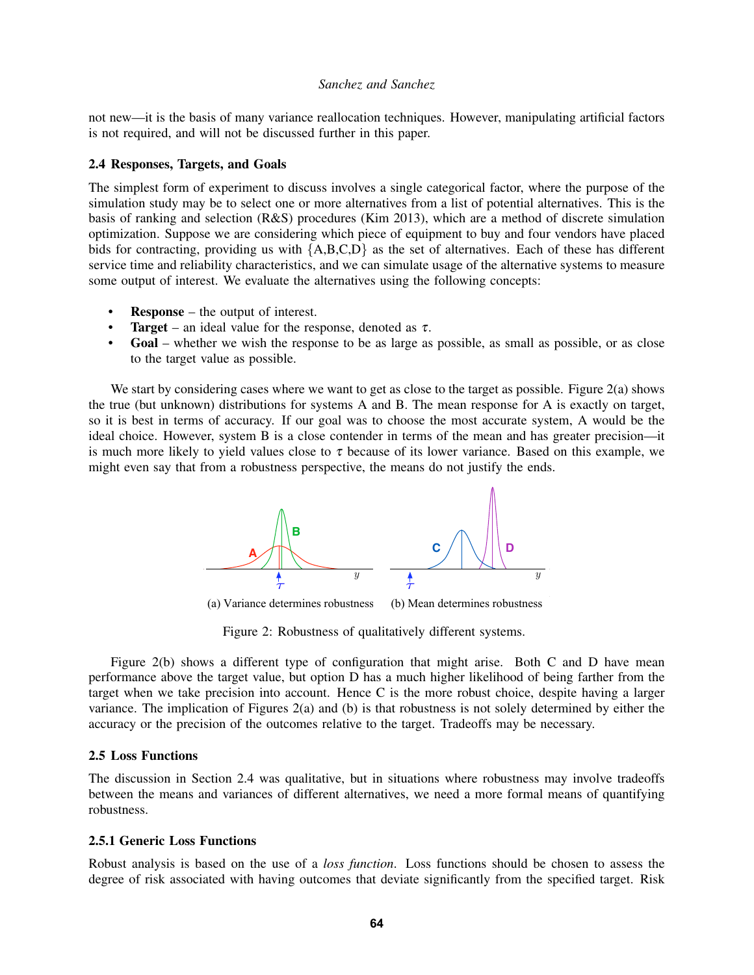not new—it is the basis of many variance reallocation techniques. However, manipulating artificial factors is not required, and will not be discussed further in this paper.

### <span id="page-4-1"></span>2.4 Responses, Targets, and Goals

The simplest form of experiment to discuss involves a single categorical factor, where the purpose of the simulation study may be to select one or more alternatives from a list of potential alternatives. This is the basis of ranking and selection (R&S) procedures [\(Kim 2013\)](#page-13-3), which are a method of discrete simulation optimization. Suppose we are considering which piece of equipment to buy and four vendors have placed bids for contracting, providing us with {A,B,C,D} as the set of alternatives. Each of these has different service time and reliability characteristics, and we can simulate usage of the alternative systems to measure some output of interest. We evaluate the alternatives using the following concepts:

- **Response** the output of interest.
- **Target** an ideal value for the response, denoted as  $\tau$ .
- Goal whether we wish the response to be as large as possible, as small as possible, or as close to the target value as possible.

We start by considering cases where we want to get as close to the target as possible. Figure [2\(](#page-4-0)a) shows the true (but unknown) distributions for systems A and B. The mean response for A is exactly on target, so it is best in terms of accuracy. If our goal was to choose the most accurate system, A would be the ideal choice. However, system B is a close contender in terms of the mean and has greater precision—it is much more likely to yield values close to  $\tau$  because of its lower variance. Based on this example, we might even say that from a robustness perspective, the means do not justify the ends.



(b) Mean determines robustness (a) Variance determines robustness

<span id="page-4-0"></span>Figure 2: Robustness of qualitatively different systems.

Figure [2\(](#page-4-0)b) shows a different type of configuration that might arise. Both C and D have mean performance above the target value, but option D has a much higher likelihood of being farther from the target when we take precision into account. Hence C is the more robust choice, despite having a larger variance. The implication of Figures [2\(](#page-4-0)a) and (b) is that robustness is not solely determined by either the accuracy or the precision of the outcomes relative to the target. Tradeoffs may be necessary.

## 2.5 Loss Functions

The discussion in Section [2.4](#page-4-1) was qualitative, but in situations where robustness may involve tradeoffs between the means and variances of different alternatives, we need a more formal means of quantifying robustness.

## 2.5.1 Generic Loss Functions

Robust analysis is based on the use of a *loss function*. Loss functions should be chosen to assess the degree of risk associated with having outcomes that deviate significantly from the specified target. Risk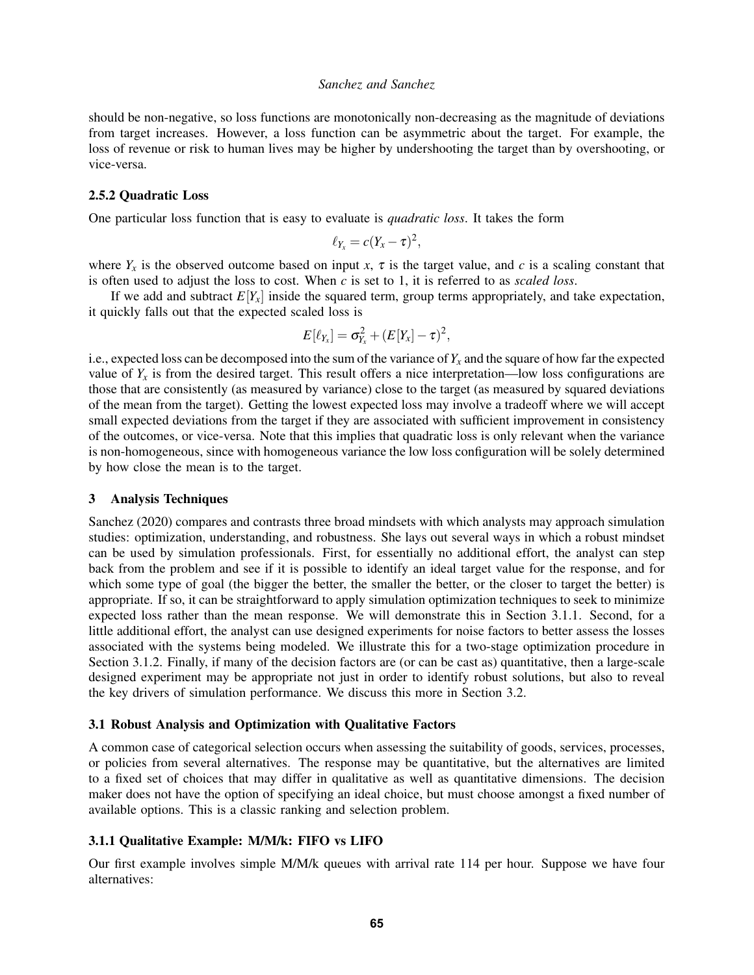should be non-negative, so loss functions are monotonically non-decreasing as the magnitude of deviations from target increases. However, a loss function can be asymmetric about the target. For example, the loss of revenue or risk to human lives may be higher by undershooting the target than by overshooting, or vice-versa.

## 2.5.2 Quadratic Loss

One particular loss function that is easy to evaluate is *quadratic loss*. It takes the form

$$
\ell_{Y_x}=c(Y_x-\tau)^2,
$$

where  $Y_x$  is the observed outcome based on input *x*,  $\tau$  is the target value, and *c* is a scaling constant that is often used to adjust the loss to cost. When *c* is set to 1, it is referred to as *scaled loss*.

If we add and subtract  $E[Y<sub>x</sub>]$  inside the squared term, group terms appropriately, and take expectation, it quickly falls out that the expected scaled loss is

$$
E[\ell_{Y_x}] = \sigma_{Y_x}^2 + (E[Y_x] - \tau)^2,
$$

i.e., expected loss can be decomposed into the sum of the variance of  $Y_x$  and the square of how far the expected value of  $Y<sub>x</sub>$  is from the desired target. This result offers a nice interpretation—low loss configurations are those that are consistently (as measured by variance) close to the target (as measured by squared deviations of the mean from the target). Getting the lowest expected loss may involve a tradeoff where we will accept small expected deviations from the target if they are associated with sufficient improvement in consistency of the outcomes, or vice-versa. Note that this implies that quadratic loss is only relevant when the variance is non-homogeneous, since with homogeneous variance the low loss configuration will be solely determined by how close the mean is to the target.

#### 3 Analysis Techniques

[Sanchez \(2020\)](#page-14-13) compares and contrasts three broad mindsets with which analysts may approach simulation studies: optimization, understanding, and robustness. She lays out several ways in which a robust mindset can be used by simulation professionals. First, for essentially no additional effort, the analyst can step back from the problem and see if it is possible to identify an ideal target value for the response, and for which some type of goal (the bigger the better, the smaller the better, or the closer to target the better) is appropriate. If so, it can be straightforward to apply simulation optimization techniques to seek to minimize expected loss rather than the mean response. We will demonstrate this in Section [3.1.1.](#page-5-0) Second, for a little additional effort, the analyst can use designed experiments for noise factors to better assess the losses associated with the systems being modeled. We illustrate this for a two-stage optimization procedure in Section [3.1.2.](#page-7-0) Finally, if many of the decision factors are (or can be cast as) quantitative, then a large-scale designed experiment may be appropriate not just in order to identify robust solutions, but also to reveal the key drivers of simulation performance. We discuss this more in Section [3.2.](#page-11-0)

### 3.1 Robust Analysis and Optimization with Qualitative Factors

A common case of categorical selection occurs when assessing the suitability of goods, services, processes, or policies from several alternatives. The response may be quantitative, but the alternatives are limited to a fixed set of choices that may differ in qualitative as well as quantitative dimensions. The decision maker does not have the option of specifying an ideal choice, but must choose amongst a fixed number of available options. This is a classic ranking and selection problem.

## <span id="page-5-0"></span>3.1.1 Qualitative Example: M/M/k: FIFO vs LIFO

Our first example involves simple M/M/k queues with arrival rate 114 per hour. Suppose we have four alternatives: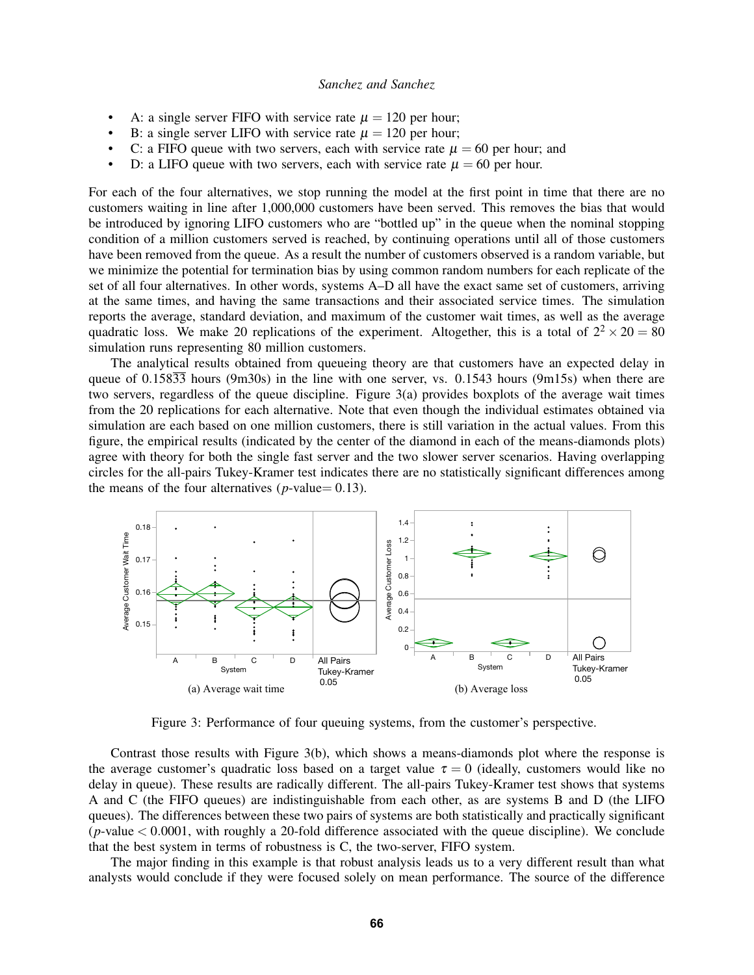- A: a single server FIFO with service rate  $\mu = 120$  per hour;
- B: a single server LIFO with service rate  $\mu = 120$  per hour;
- C: a FIFO queue with two servers, each with service rate  $\mu = 60$  per hour; and
- D: a LIFO queue with two servers, each with service rate  $\mu = 60$  per hour.

For each of the four alternatives, we stop running the model at the first point in time that there are no customers waiting in line after 1,000,000 customers have been served. This removes the bias that would be introduced by ignoring LIFO customers who are "bottled up" in the queue when the nominal stopping condition of a million customers served is reached, by continuing operations until all of those customers have been removed from the queue. As a result the number of customers observed is a random variable, but we minimize the potential for termination bias by using common random numbers for each replicate of the set of all four alternatives. In other words, systems A–D all have the exact same set of customers, arriving at the same times, and having the same transactions and their associated service times. The simulation reports the average, standard deviation, and maximum of the customer wait times, as well as the average quadratic loss. We make 20 replications of the experiment. Altogether, this is a total of  $2^2 \times 20 = 80$ simulation runs representing 80 million customers.

The analytical results obtained from queueing theory are that customers have an expected delay in queue of 0.15833 hours (9m30s) in the line with one server, vs. 0.1543 hours (9m15s) when there are two servers, regardless of the queue discipline. Figure [3\(](#page-6-0)a) provides boxplots of the average wait times from the 20 replications for each alternative. Note that even though the individual estimates obtained via simulation are each based on one million customers, there is still variation in the actual values. From this figure, the empirical results (indicated by the center of the diamond in each of the means-diamonds plots) agree with theory for both the single fast server and the two slower server scenarios. Having overlapping circles for the all-pairs Tukey-Kramer test indicates there are no statistically significant differences among the means of the four alternatives ( $p$ -value= 0.13).



<span id="page-6-0"></span>Figure 3: Performance of four queuing systems, from the customer's perspective.

Contrast those results with Figure [3\(](#page-6-0)b), which shows a means-diamonds plot where the response is the average customer's quadratic loss based on a target value  $\tau = 0$  (ideally, customers would like no delay in queue). These results are radically different. The all-pairs Tukey-Kramer test shows that systems A and C (the FIFO queues) are indistinguishable from each other, as are systems B and D (the LIFO queues). The differences between these two pairs of systems are both statistically and practically significant  $(p$ -value  $< 0.0001$ , with roughly a 20-fold difference associated with the queue discipline). We conclude that the best system in terms of robustness is C, the two-server, FIFO system.

The major finding in this example is that robust analysis leads us to a very different result than what analysts would conclude if they were focused solely on mean performance. The source of the difference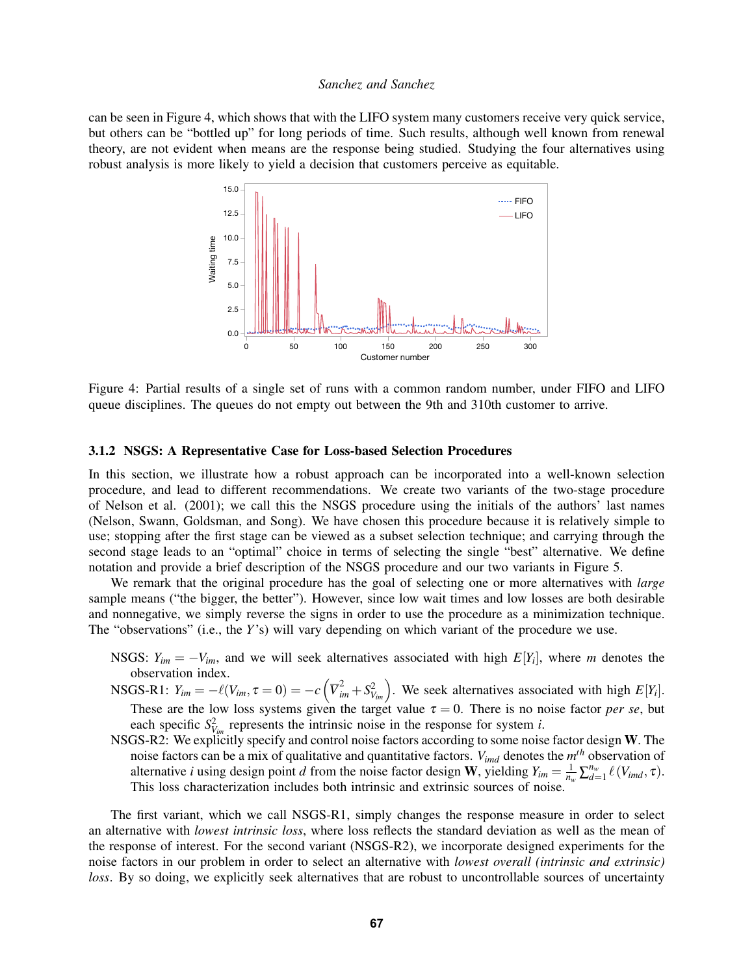can be seen in Figure [4,](#page-7-1) which shows that with the LIFO system many customers receive very quick service, but others can be "bottled up" for long periods of time. Such results, although well known from renewal theory, are not evident when means are the response being studied. Studying the four alternatives using robust analysis is more likely to yield a decision that customers perceive as equitable.



<span id="page-7-1"></span>Figure 4: Partial results of a single set of runs with a common random number, under FIFO and LIFO queue disciplines. The queues do not empty out between the 9th and 310th customer to arrive.

#### <span id="page-7-0"></span>3.1.2 NSGS: A Representative Case for Loss-based Selection Procedures

In this section, we illustrate how a robust approach can be incorporated into a well-known selection procedure, and lead to different recommendations. We create two variants of the two-stage procedure of [Nelson et al. \(2001\);](#page-14-14) we call this the NSGS procedure using the initials of the authors' last names (Nelson, Swann, Goldsman, and Song). We have chosen this procedure because it is relatively simple to use; stopping after the first stage can be viewed as a subset selection technique; and carrying through the second stage leads to an "optimal" choice in terms of selecting the single "best" alternative. We define notation and provide a brief description of the NSGS procedure and our two variants in Figure [5.](#page-8-0)

We remark that the original procedure has the goal of selecting one or more alternatives with *large* sample means ("the bigger, the better"). However, since low wait times and low losses are both desirable and nonnegative, we simply reverse the signs in order to use the procedure as a minimization technique. The "observations" (i.e., the *Y*'s) will vary depending on which variant of the procedure we use.

NSGS:  $Y_{im} = -V_{im}$ , and we will seek alternatives associated with high  $E[Y_i]$ , where *m* denotes the observation index.

 $\text{NSGS-R1: } Y_{im} = -\ell(V_{im}, \tau = 0) = -c\left(\overline{V}_{im}^2 + S_{V_{im}}^2\right)$ . We seek alternatives associated with high  $E[Y_i]$ . These are the low loss systems given the target value  $\tau = 0$ . There is no noise factor *per se*, but each specific  $S_{V_{im}}^2$  represents the intrinsic noise in the response for system *i*.

NSGS-R2: We explicitly specify and control noise factors according to some noise factor design W. The noise factors can be a mix of qualitative and quantitative factors. *Vimd* denotes the *m th* observation of alternative *i* using design point *d* from the noise factor design **W**, yielding  $Y_{im} = \frac{1}{n_w} \sum_{d=1}^{n_w} \ell(V_{imd}, \tau)$ . This loss characterization includes both intrinsic and extrinsic sources of noise.

The first variant, which we call NSGS-R1, simply changes the response measure in order to select an alternative with *lowest intrinsic loss*, where loss reflects the standard deviation as well as the mean of the response of interest. For the second variant (NSGS-R2), we incorporate designed experiments for the noise factors in our problem in order to select an alternative with *lowest overall (intrinsic and extrinsic) loss*. By so doing, we explicitly seek alternatives that are robust to uncontrollable sources of uncertainty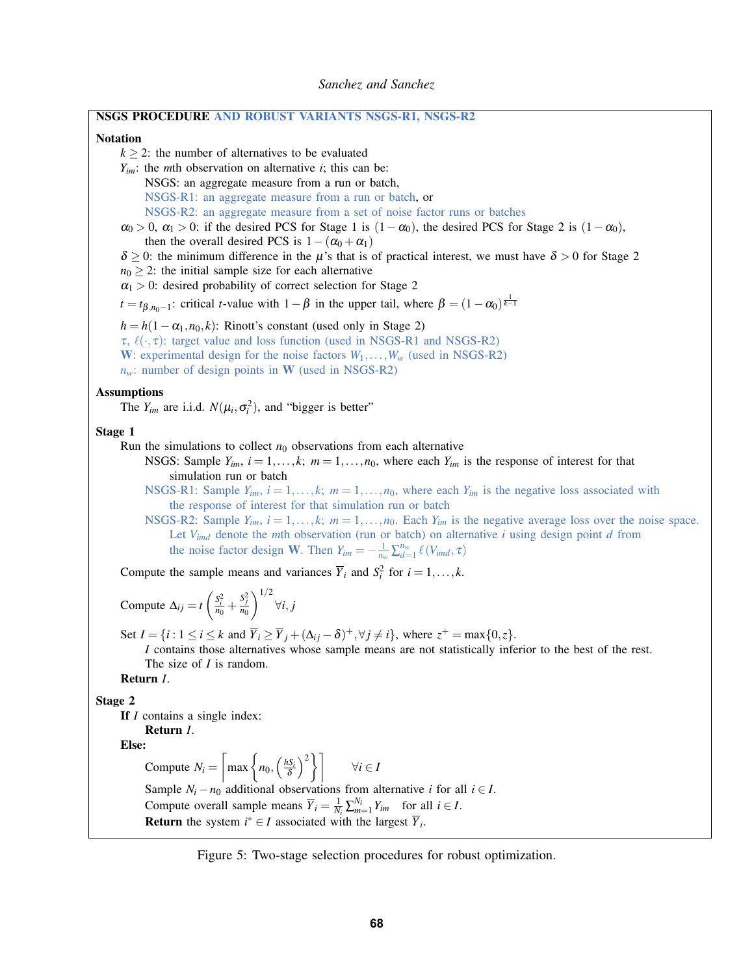| NSGS PROCEDURE AND ROBUST VARIANTS NSGS-R1, NSGS-R2                                                                                                                                                     |  |  |  |  |
|---------------------------------------------------------------------------------------------------------------------------------------------------------------------------------------------------------|--|--|--|--|
| <b>Notation</b>                                                                                                                                                                                         |  |  |  |  |
| $k \geq 2$ : the number of alternatives to be evaluated                                                                                                                                                 |  |  |  |  |
| $Y_{im}$ : the <i>m</i> th observation on alternative <i>i</i> ; this can be:                                                                                                                           |  |  |  |  |
| NSGS: an aggregate measure from a run or batch,                                                                                                                                                         |  |  |  |  |
| NSGS-R1: an aggregate measure from a run or batch, or                                                                                                                                                   |  |  |  |  |
| NSGS-R2: an aggregate measure from a set of noise factor runs or batches                                                                                                                                |  |  |  |  |
| $\alpha_0 > 0$ , $\alpha_1 > 0$ : if the desired PCS for Stage 1 is $(1 - \alpha_0)$ , the desired PCS for Stage 2 is $(1 - \alpha_0)$ ,<br>then the overall desired PCS is $1 - (\alpha_0 + \alpha_1)$ |  |  |  |  |
| $\delta \geq 0$ : the minimum difference in the $\mu$ 's that is of practical interest, we must have $\delta > 0$ for Stage 2                                                                           |  |  |  |  |
| $n_0 \geq 2$ : the initial sample size for each alternative                                                                                                                                             |  |  |  |  |
| $\alpha_1 > 0$ : desired probability of correct selection for Stage 2                                                                                                                                   |  |  |  |  |
| $t = t_{\beta,n_0-1}$ : critical <i>t</i> -value with $1-\beta$ in the upper tail, where $\beta = (1-\alpha_0)^{\frac{1}{k-1}}$                                                                         |  |  |  |  |
| $h = h(1 - \alpha_1, n_0, k)$ : Rinott's constant (used only in Stage 2)                                                                                                                                |  |  |  |  |
| $\tau$ , $\ell(\cdot, \tau)$ : target value and loss function (used in NSGS-R1 and NSGS-R2)                                                                                                             |  |  |  |  |
| W: experimental design for the noise factors $W_1, \ldots, W_w$ (used in NSGS-R2)                                                                                                                       |  |  |  |  |
| $n_w$ : number of design points in W (used in NSGS-R2)                                                                                                                                                  |  |  |  |  |
| <b>Assumptions</b>                                                                                                                                                                                      |  |  |  |  |
| The $Y_{im}$ are i.i.d. $N(\mu_i, \sigma_i^2)$ , and "bigger is better"                                                                                                                                 |  |  |  |  |
| Stage 1                                                                                                                                                                                                 |  |  |  |  |
| Run the simulations to collect $n_0$ observations from each alternative                                                                                                                                 |  |  |  |  |
| NSGS: Sample $Y_{im}$ , $i = 1, , k$ ; $m = 1, , n_0$ , where each $Y_{im}$ is the response of interest for that                                                                                        |  |  |  |  |
| simulation run or batch                                                                                                                                                                                 |  |  |  |  |
| NSGS-R1: Sample $Y_{im}$ , $i = 1, , k$ ; $m = 1, , n_0$ , where each $Y_{im}$ is the negative loss associated with                                                                                     |  |  |  |  |
| the response of interest for that simulation run or batch                                                                                                                                               |  |  |  |  |
| NSGS-R2: Sample $Y_{im}$ , $i = 1, , k$ ; $m = 1, , n_0$ . Each $Y_{im}$ is the negative average loss over the noise space.                                                                             |  |  |  |  |
| Let $V_{imd}$ denote the <i>m</i> th observation (run or batch) on alternative <i>i</i> using design point <i>d</i> from                                                                                |  |  |  |  |
| the noise factor design W. Then $Y_{im} = -\frac{1}{n_w} \sum_{d=1}^{n_w} \ell(V_{imd}, \tau)$                                                                                                          |  |  |  |  |
| Compute the sample means and variances $\overline{Y}_i$ and $S_i^2$ for $i = 1, , k$ .                                                                                                                  |  |  |  |  |
| Compute $\Delta_{ij} = t \left( \frac{S_i^2}{n_0} + \frac{S_j^2}{n_0} \right)^{1/2} \forall i, j$                                                                                                       |  |  |  |  |
|                                                                                                                                                                                                         |  |  |  |  |
| Set $I = \{i : 1 \le i \le k \text{ and } \overline{Y}_i \ge \overline{Y}_j + (\Delta_{ij} - \delta)^+, \forall j \ne i\}$ , where $z^+ = \max\{0, z\}$ .                                               |  |  |  |  |
| I contains those alternatives whose sample means are not statistically inferior to the best of the rest.<br>The size of $I$ is random.                                                                  |  |  |  |  |
| Return <i>I</i> .                                                                                                                                                                                       |  |  |  |  |
|                                                                                                                                                                                                         |  |  |  |  |
| Stage 2<br>If <i>I</i> contains a single index:                                                                                                                                                         |  |  |  |  |
| Return <i>I</i> .                                                                                                                                                                                       |  |  |  |  |
| Else:                                                                                                                                                                                                   |  |  |  |  |
| Compute $N_i = \left[\max\left\{n_0, \left(\frac{hS_i}{\delta}\right)^2\right\}\right]$<br>$\forall i \in I$                                                                                            |  |  |  |  |
| Sample $N_i - n_0$ additional observations from alternative <i>i</i> for all $i \in I$ .                                                                                                                |  |  |  |  |
| Compute overall sample means $\overline{Y}_i = \frac{1}{N_i} \sum_{m=1}^{N_i} Y_{im}$ for all $i \in I$ .                                                                                               |  |  |  |  |
| <b>Return</b> the system $i^* \in I$ associated with the largest $\overline{Y}_i$ .                                                                                                                     |  |  |  |  |
|                                                                                                                                                                                                         |  |  |  |  |

<span id="page-8-0"></span>Figure 5: Two-stage selection procedures for robust optimization.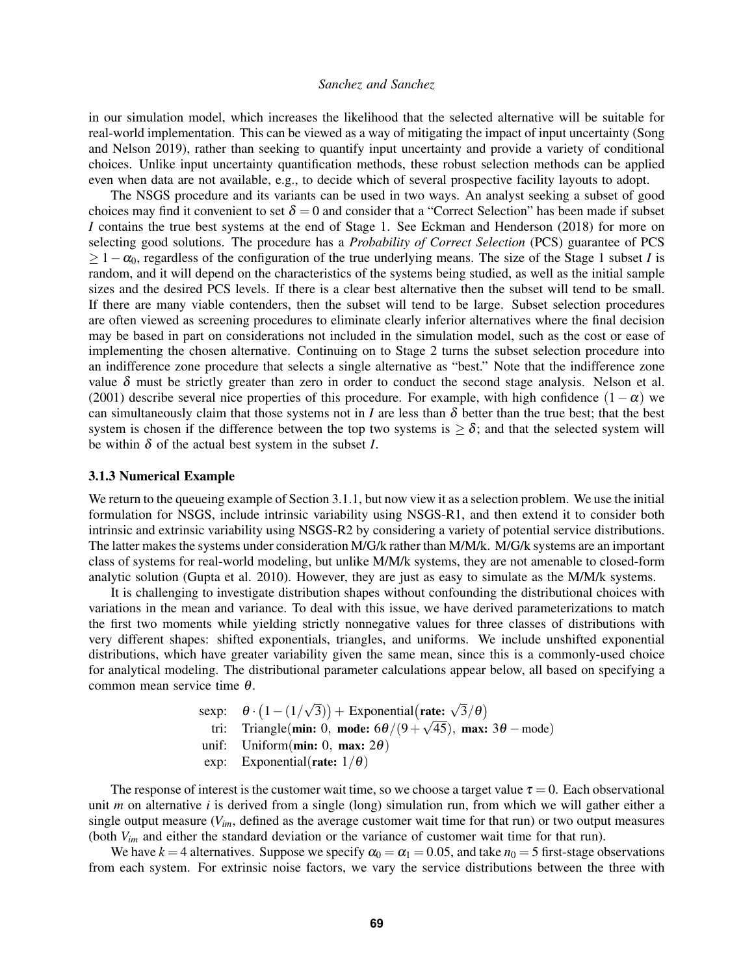in our simulation model, which increases the likelihood that the selected alternative will be suitable for real-world implementation. This can be viewed as a way of mitigating the impact of input uncertainty [\(Song](#page-14-15) [and Nelson 2019\)](#page-14-15), rather than seeking to quantify input uncertainty and provide a variety of conditional choices. Unlike input uncertainty quantification methods, these robust selection methods can be applied even when data are not available, e.g., to decide which of several prospective facility layouts to adopt.

The NSGS procedure and its variants can be used in two ways. An analyst seeking a subset of good choices may find it convenient to set  $\delta = 0$  and consider that a "Correct Selection" has been made if subset *I* contains the true best systems at the end of Stage 1. See [Eckman and Henderson \(2018\)](#page-13-4) for more on selecting good solutions. The procedure has a *Probability of Correct Selection* (PCS) guarantee of PCS ≥ 1−α0, regardless of the configuration of the true underlying means. The size of the Stage 1 subset *I* is random, and it will depend on the characteristics of the systems being studied, as well as the initial sample sizes and the desired PCS levels. If there is a clear best alternative then the subset will tend to be small. If there are many viable contenders, then the subset will tend to be large. Subset selection procedures are often viewed as screening procedures to eliminate clearly inferior alternatives where the final decision may be based in part on considerations not included in the simulation model, such as the cost or ease of implementing the chosen alternative. Continuing on to Stage 2 turns the subset selection procedure into an indifference zone procedure that selects a single alternative as "best." Note that the indifference zone value  $\delta$  must be strictly greater than zero in order to conduct the second stage analysis. [Nelson et al.](#page-14-14) [\(2001\)](#page-14-14) describe several nice properties of this procedure. For example, with high confidence  $(1-\alpha)$  we can simultaneously claim that those systems not in *I* are less than  $\delta$  better than the true best; that the best system is chosen if the difference between the top two systems is  $\geq \delta$ ; and that the selected system will be within  $\delta$  of the actual best system in the subset *I*.

#### <span id="page-9-0"></span>3.1.3 Numerical Example

We return to the queueing example of Section [3.1.1,](#page-5-0) but now view it as a selection problem. We use the initial formulation for NSGS, include intrinsic variability using NSGS-R1, and then extend it to consider both intrinsic and extrinsic variability using NSGS-R2 by considering a variety of potential service distributions. The latter makes the systems under consideration M/G/k rather than M/M/k. M/G/k systems are an important class of systems for real-world modeling, but unlike M/M/k systems, they are not amenable to closed-form analytic solution [\(Gupta et al. 2010\)](#page-13-5). However, they are just as easy to simulate as the M/M/k systems.

It is challenging to investigate distribution shapes without confounding the distributional choices with variations in the mean and variance. To deal with this issue, we have derived parameterizations to match the first two moments while yielding strictly nonnegative values for three classes of distributions with very different shapes: shifted exponentials, triangles, and uniforms. We include unshifted exponential distributions, which have greater variability given the same mean, since this is a commonly-used choice for analytical modeling. The distributional parameter calculations appear below, all based on specifying a common mean service time θ.

$$
θ ⋅ (1 – (1/√3)) + Exponential(rate: √3/θ)
$$
  
tri: Triangle(**min:** 0, **mode:** 6θ/(9 + √45), **max:** 3θ – mode)  
unif: Uniform(**min:** 0, **max:** 2θ)  
exp: Exponential(**rate:** 1/θ)

The response of interest is the customer wait time, so we choose a target value  $\tau = 0$ . Each observational unit *m* on alternative *i* is derived from a single (long) simulation run, from which we will gather either a single output measure (*Vim*, defined as the average customer wait time for that run) or two output measures (both *Vim* and either the standard deviation or the variance of customer wait time for that run).

We have  $k = 4$  alternatives. Suppose we specify  $\alpha_0 = \alpha_1 = 0.05$ , and take  $n_0 = 5$  first-stage observations from each system. For extrinsic noise factors, we vary the service distributions between the three with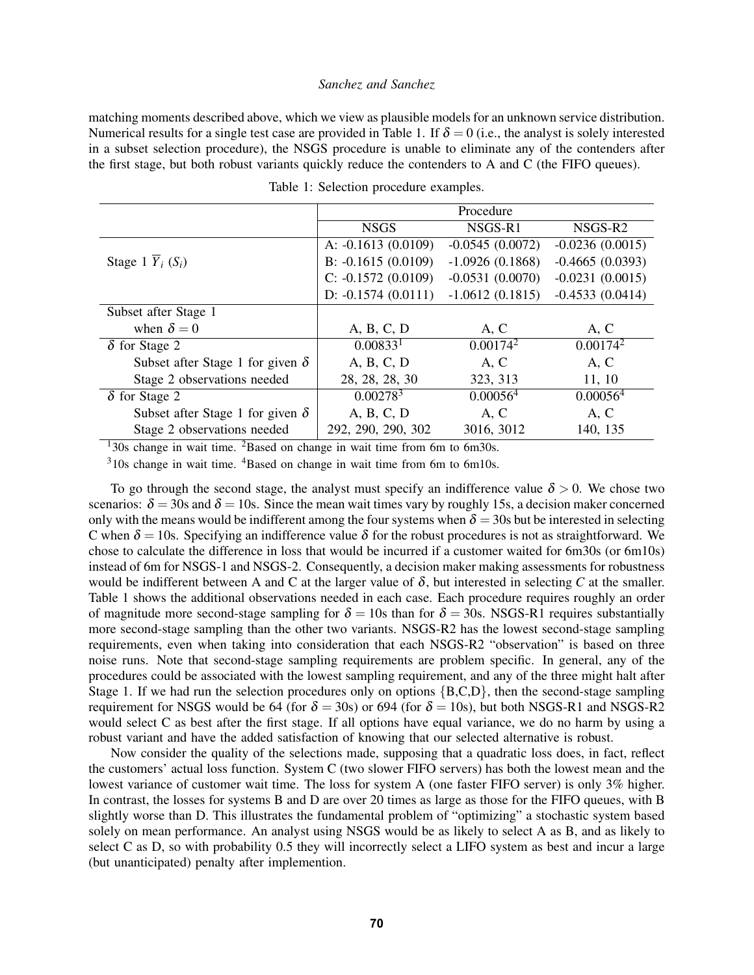matching moments described above, which we view as plausible models for an unknown service distribution. Numerical results for a single test case are provided in Table [1.](#page-10-0) If  $\delta = 0$  (i.e., the analyst is solely interested in a subset selection procedure), the NSGS procedure is unable to eliminate any of the contenders after the first stage, but both robust variants quickly reduce the contenders to A and C (the FIFO queues).

|                                            | Procedure            |                      |                      |
|--------------------------------------------|----------------------|----------------------|----------------------|
|                                            | <b>NSGS</b>          | NSGS-R1              | NSGS-R <sub>2</sub>  |
|                                            | A: $-0.1613(0.0109)$ | $-0.0545(0.0072)$    | $-0.0236(0.0015)$    |
| Stage 1 $\overline{Y}_i$ (S <sub>i</sub> ) | B: $-0.1615(0.0109)$ | $-1.0926(0.1868)$    | $-0.4665(0.0393)$    |
|                                            | $C: -0.1572(0.0109)$ | $-0.0531(0.0070)$    | $-0.0231(0.0015)$    |
|                                            | D: $-0.1574(0.0111)$ | $-1.0612(0.1815)$    | $-0.4533(0.0414)$    |
| Subset after Stage 1                       |                      |                      |                      |
| when $\delta = 0$                          | A, B, C, D           | A, C                 | A, C                 |
| $\delta$ for Stage 2                       | 0.00833 <sup>1</sup> | $0.00174^2$          | $0.00174^2$          |
| Subset after Stage 1 for given $\delta$    | A, B, C, D           | A, C                 | A, C                 |
| Stage 2 observations needed                | 28, 28, 28, 30       | 323, 313             | 11, 10               |
| $\delta$ for Stage 2                       | 0.00278 <sup>3</sup> | 0.00056 <sup>4</sup> | 0.00056 <sup>4</sup> |
| Subset after Stage 1 for given $\delta$    | A, B, C, D           | A, C                 | A, C                 |
| Stage 2 observations needed                | 292, 290, 290, 302   | 3016, 3012           | 140, 135             |

<span id="page-10-0"></span>Table 1: Selection procedure examples.

 $130s$  change in wait time. <sup>2</sup>Based on change in wait time from 6m to 6m30s.

 $310s$  change in wait time.  $4B$ ased on change in wait time from 6m to 6m10s.

To go through the second stage, the analyst must specify an indifference value  $\delta > 0$ . We chose two scenarios:  $\delta = 30$ s and  $\delta = 10$ s. Since the mean wait times vary by roughly 15s, a decision maker concerned only with the means would be indifferent among the four systems when  $\delta = 30$ s but be interested in selecting C when  $\delta = 10$ s. Specifying an indifference value  $\delta$  for the robust procedures is not as straightforward. We chose to calculate the difference in loss that would be incurred if a customer waited for 6m30s (or 6m10s) instead of 6m for NSGS-1 and NSGS-2. Consequently, a decision maker making assessments for robustness would be indifferent between A and C at the larger value of  $\delta$ , but interested in selecting C at the smaller. Table [1](#page-10-0) shows the additional observations needed in each case. Each procedure requires roughly an order of magnitude more second-stage sampling for  $\delta = 10$ s than for  $\delta = 30$ s. NSGS-R1 requires substantially more second-stage sampling than the other two variants. NSGS-R2 has the lowest second-stage sampling requirements, even when taking into consideration that each NSGS-R2 "observation" is based on three noise runs. Note that second-stage sampling requirements are problem specific. In general, any of the procedures could be associated with the lowest sampling requirement, and any of the three might halt after Stage 1. If we had run the selection procedures only on options {B,C,D}, then the second-stage sampling requirement for NSGS would be 64 (for  $\delta = 30s$ ) or 694 (for  $\delta = 10s$ ), but both NSGS-R1 and NSGS-R2 would select C as best after the first stage. If all options have equal variance, we do no harm by using a robust variant and have the added satisfaction of knowing that our selected alternative is robust.

Now consider the quality of the selections made, supposing that a quadratic loss does, in fact, reflect the customers' actual loss function. System C (two slower FIFO servers) has both the lowest mean and the lowest variance of customer wait time. The loss for system A (one faster FIFO server) is only 3% higher. In contrast, the losses for systems B and D are over 20 times as large as those for the FIFO queues, with B slightly worse than D. This illustrates the fundamental problem of "optimizing" a stochastic system based solely on mean performance. An analyst using NSGS would be as likely to select A as B, and as likely to select C as D, so with probability 0.5 they will incorrectly select a LIFO system as best and incur a large (but unanticipated) penalty after implemention.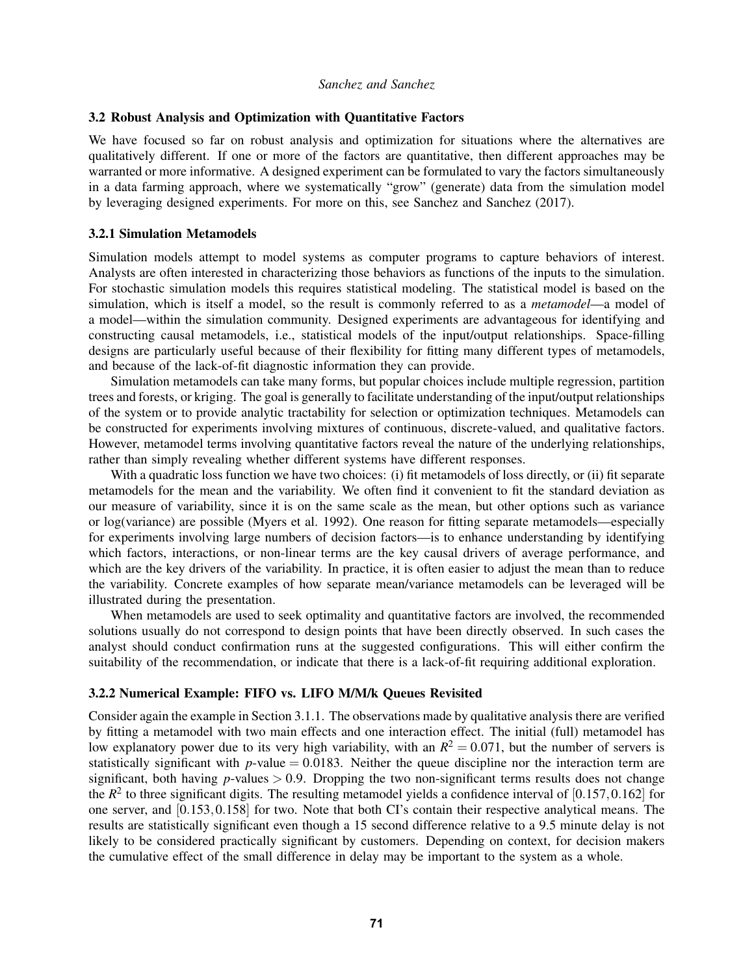### <span id="page-11-0"></span>3.2 Robust Analysis and Optimization with Quantitative Factors

We have focused so far on robust analysis and optimization for situations where the alternatives are qualitatively different. If one or more of the factors are quantitative, then different approaches may be warranted or more informative. A designed experiment can be formulated to vary the factors simultaneously in a data farming approach, where we systematically "grow" (generate) data from the simulation model by leveraging designed experiments. For more on this, see [Sanchez and Sanchez \(2017\).](#page-14-16)

## 3.2.1 Simulation Metamodels

Simulation models attempt to model systems as computer programs to capture behaviors of interest. Analysts are often interested in characterizing those behaviors as functions of the inputs to the simulation. For stochastic simulation models this requires statistical modeling. The statistical model is based on the simulation, which is itself a model, so the result is commonly referred to as a *metamodel*—a model of a model—within the simulation community. Designed experiments are advantageous for identifying and constructing causal metamodels, i.e., statistical models of the input/output relationships. Space-filling designs are particularly useful because of their flexibility for fitting many different types of metamodels, and because of the lack-of-fit diagnostic information they can provide.

Simulation metamodels can take many forms, but popular choices include multiple regression, partition trees and forests, or kriging. The goal is generally to facilitate understanding of the input/output relationships of the system or to provide analytic tractability for selection or optimization techniques. Metamodels can be constructed for experiments involving mixtures of continuous, discrete-valued, and qualitative factors. However, metamodel terms involving quantitative factors reveal the nature of the underlying relationships, rather than simply revealing whether different systems have different responses.

With a quadratic loss function we have two choices: (i) fit metamodels of loss directly, or (ii) fit separate metamodels for the mean and the variability. We often find it convenient to fit the standard deviation as our measure of variability, since it is on the same scale as the mean, but other options such as variance or log(variance) are possible [\(Myers et al. 1992\)](#page-14-17). One reason for fitting separate metamodels—especially for experiments involving large numbers of decision factors—is to enhance understanding by identifying which factors, interactions, or non-linear terms are the key causal drivers of average performance, and which are the key drivers of the variability. In practice, it is often easier to adjust the mean than to reduce the variability. Concrete examples of how separate mean/variance metamodels can be leveraged will be illustrated during the presentation.

When metamodels are used to seek optimality and quantitative factors are involved, the recommended solutions usually do not correspond to design points that have been directly observed. In such cases the analyst should conduct confirmation runs at the suggested configurations. This will either confirm the suitability of the recommendation, or indicate that there is a lack-of-fit requiring additional exploration.

## 3.2.2 Numerical Example: FIFO vs. LIFO M/M/k Queues Revisited

Consider again the example in Section [3.1.1.](#page-5-0) The observations made by qualitative analysis there are verified by fitting a metamodel with two main effects and one interaction effect. The initial (full) metamodel has low explanatory power due to its very high variability, with an  $R^2 = 0.071$ , but the number of servers is statistically significant with  $p$ -value = 0.0183. Neither the queue discipline nor the interaction term are significant, both having  $p$ -values  $> 0.9$ . Dropping the two non-significant terms results does not change the  $R^2$  to three significant digits. The resulting metamodel yields a confidence interval of  $[0.157, 0.162]$  for one server, and [0.153,0.158] for two. Note that both CI's contain their respective analytical means. The results are statistically significant even though a 15 second difference relative to a 9.5 minute delay is not likely to be considered practically significant by customers. Depending on context, for decision makers the cumulative effect of the small difference in delay may be important to the system as a whole.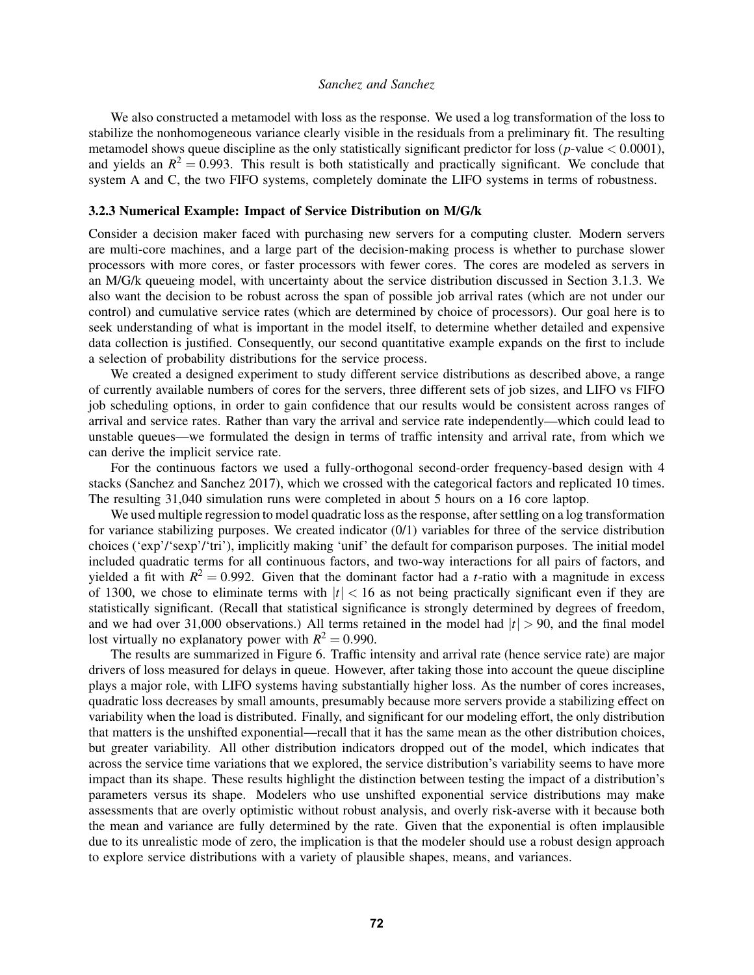We also constructed a metamodel with loss as the response. We used a log transformation of the loss to stabilize the nonhomogeneous variance clearly visible in the residuals from a preliminary fit. The resulting metamodel shows queue discipline as the only statistically significant predictor for loss (*p*-value < 0.0001), and yields an  $R^2 = 0.993$ . This result is both statistically and practically significant. We conclude that system A and C, the two FIFO systems, completely dominate the LIFO systems in terms of robustness.

#### 3.2.3 Numerical Example: Impact of Service Distribution on M/G/k

Consider a decision maker faced with purchasing new servers for a computing cluster. Modern servers are multi-core machines, and a large part of the decision-making process is whether to purchase slower processors with more cores, or faster processors with fewer cores. The cores are modeled as servers in an M/G/k queueing model, with uncertainty about the service distribution discussed in Section [3.1.3.](#page-9-0) We also want the decision to be robust across the span of possible job arrival rates (which are not under our control) and cumulative service rates (which are determined by choice of processors). Our goal here is to seek understanding of what is important in the model itself, to determine whether detailed and expensive data collection is justified. Consequently, our second quantitative example expands on the first to include a selection of probability distributions for the service process.

We created a designed experiment to study different service distributions as described above, a range of currently available numbers of cores for the servers, three different sets of job sizes, and LIFO vs FIFO job scheduling options, in order to gain confidence that our results would be consistent across ranges of arrival and service rates. Rather than vary the arrival and service rate independently—which could lead to unstable queues—we formulated the design in terms of traffic intensity and arrival rate, from which we can derive the implicit service rate.

For the continuous factors we used a fully-orthogonal second-order frequency-based design with 4 stacks [\(Sanchez and Sanchez 2017\)](#page-14-16), which we crossed with the categorical factors and replicated 10 times. The resulting 31,040 simulation runs were completed in about 5 hours on a 16 core laptop.

We used multiple regression to model quadratic loss as the response, after settling on a log transformation for variance stabilizing purposes. We created indicator (0/1) variables for three of the service distribution choices ('exp'/'sexp'/'tri'), implicitly making 'unif' the default for comparison purposes. The initial model included quadratic terms for all continuous factors, and two-way interactions for all pairs of factors, and yielded a fit with  $R^2 = 0.992$ . Given that the dominant factor had a *t*-ratio with a magnitude in excess of 1300, we chose to eliminate terms with  $|t| < 16$  as not being practically significant even if they are statistically significant. (Recall that statistical significance is strongly determined by degrees of freedom, and we had over 31,000 observations.) All terms retained in the model had  $|t| > 90$ , and the final model lost virtually no explanatory power with  $R^2 = 0.990$ .

The results are summarized in Figure [6.](#page-13-6) Traffic intensity and arrival rate (hence service rate) are major drivers of loss measured for delays in queue. However, after taking those into account the queue discipline plays a major role, with LIFO systems having substantially higher loss. As the number of cores increases, quadratic loss decreases by small amounts, presumably because more servers provide a stabilizing effect on variability when the load is distributed. Finally, and significant for our modeling effort, the only distribution that matters is the unshifted exponential—recall that it has the same mean as the other distribution choices, but greater variability. All other distribution indicators dropped out of the model, which indicates that across the service time variations that we explored, the service distribution's variability seems to have more impact than its shape. These results highlight the distinction between testing the impact of a distribution's parameters versus its shape. Modelers who use unshifted exponential service distributions may make assessments that are overly optimistic without robust analysis, and overly risk-averse with it because both the mean and variance are fully determined by the rate. Given that the exponential is often implausible due to its unrealistic mode of zero, the implication is that the modeler should use a robust design approach to explore service distributions with a variety of plausible shapes, means, and variances.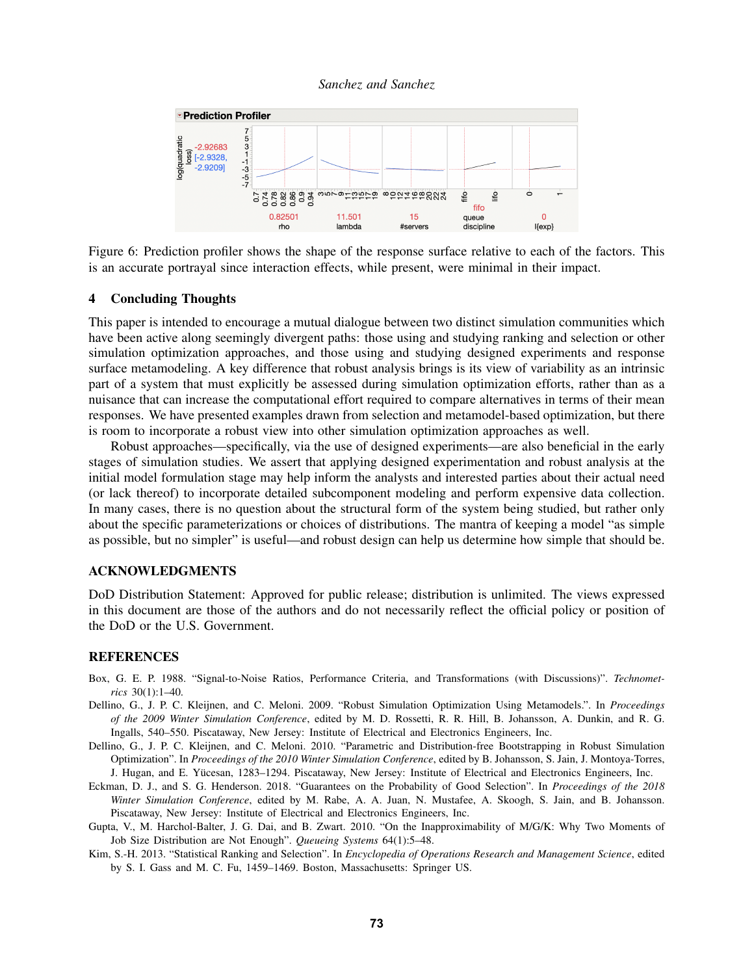*Sanchez and Sanchez*



<span id="page-13-6"></span>Figure 6: Prediction profiler shows the shape of the response surface relative to each of the factors. This is an accurate portrayal since interaction effects, while present, were minimal in their impact.

## 4 Concluding Thoughts

This paper is intended to encourage a mutual dialogue between two distinct simulation communities which have been active along seemingly divergent paths: those using and studying ranking and selection or other simulation optimization approaches, and those using and studying designed experiments and response surface metamodeling. A key difference that robust analysis brings is its view of variability as an intrinsic part of a system that must explicitly be assessed during simulation optimization efforts, rather than as a nuisance that can increase the computational effort required to compare alternatives in terms of their mean responses. We have presented examples drawn from selection and metamodel-based optimization, but there is room to incorporate a robust view into other simulation optimization approaches as well.

Robust approaches—specifically, via the use of designed experiments—are also beneficial in the early stages of simulation studies. We assert that applying designed experimentation and robust analysis at the initial model formulation stage may help inform the analysts and interested parties about their actual need (or lack thereof) to incorporate detailed subcomponent modeling and perform expensive data collection. In many cases, there is no question about the structural form of the system being studied, but rather only about the specific parameterizations or choices of distributions. The mantra of keeping a model "as simple as possible, but no simpler" is useful—and robust design can help us determine how simple that should be.

## ACKNOWLEDGMENTS

DoD Distribution Statement: Approved for public release; distribution is unlimited. The views expressed in this document are those of the authors and do not necessarily reflect the official policy or position of the DoD or the U.S. Government.

#### **REFERENCES**

- <span id="page-13-0"></span>Box, G. E. P. 1988. "Signal-to-Noise Ratios, Performance Criteria, and Transformations (with Discussions)". *Technometrics* 30(1):1–40.
- <span id="page-13-1"></span>Dellino, G., J. P. C. Kleijnen, and C. Meloni. 2009. "Robust Simulation Optimization Using Metamodels.". In *Proceedings of the 2009 Winter Simulation Conference*, edited by M. D. Rossetti, R. R. Hill, B. Johansson, A. Dunkin, and R. G. Ingalls, 540–550. Piscataway, New Jersey: Institute of Electrical and Electronics Engineers, Inc.
- <span id="page-13-2"></span>Dellino, G., J. P. C. Kleijnen, and C. Meloni. 2010. "Parametric and Distribution-free Bootstrapping in Robust Simulation Optimization". In *Proceedings of the 2010 Winter Simulation Conference*, edited by B. Johansson, S. Jain, J. Montoya-Torres, J. Hugan, and E. Yucesan, 1283–1294. Piscataway, New Jersey: Institute of Electrical and Electronics Engineers, Inc. ¨
- <span id="page-13-4"></span>Eckman, D. J., and S. G. Henderson. 2018. "Guarantees on the Probability of Good Selection". In *Proceedings of the 2018 Winter Simulation Conference*, edited by M. Rabe, A. A. Juan, N. Mustafee, A. Skoogh, S. Jain, and B. Johansson. Piscataway, New Jersey: Institute of Electrical and Electronics Engineers, Inc.
- <span id="page-13-5"></span>Gupta, V., M. Harchol-Balter, J. G. Dai, and B. Zwart. 2010. "On the Inapproximability of M/G/K: Why Two Moments of Job Size Distribution are Not Enough". *Queueing Systems* 64(1):5–48.
- <span id="page-13-3"></span>Kim, S.-H. 2013. "Statistical Ranking and Selection". In *Encyclopedia of Operations Research and Management Science*, edited by S. I. Gass and M. C. Fu, 1459–1469. Boston, Massachusetts: Springer US.